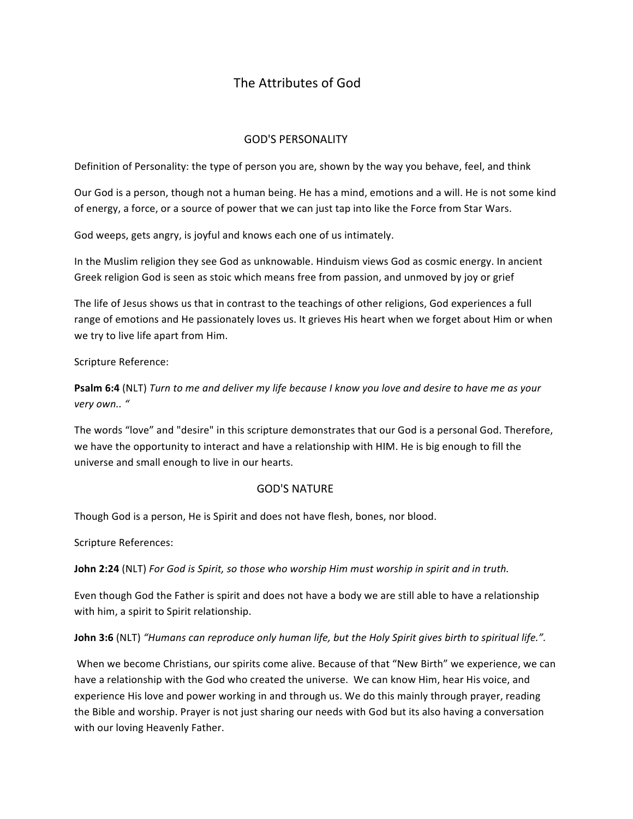# The Attributes of God

## GOD'S PERSONALITY

Definition of Personality: the type of person you are, shown by the way you behave, feel, and think

Our God is a person, though not a human being. He has a mind, emotions and a will. He is not some kind of energy, a force, or a source of power that we can just tap into like the Force from Star Wars.

God weeps, gets angry, is joyful and knows each one of us intimately.

In the Muslim religion they see God as unknowable. Hinduism views God as cosmic energy. In ancient Greek religion God is seen as stoic which means free from passion, and unmoved by joy or grief

The life of Jesus shows us that in contrast to the teachings of other religions, God experiences a full range of emotions and He passionately loves us. It grieves His heart when we forget about Him or when we try to live life apart from Him.

#### Scripture Reference:

**Psalm 6:4** (NLT) *Turn to me and deliver my life because I know you love and desire to have me as your very own.. "* 

The words "love" and "desire" in this scripture demonstrates that our God is a personal God. Therefore, we have the opportunity to interact and have a relationship with HIM. He is big enough to fill the universe and small enough to live in our hearts.

## **GOD'S NATURE**

Though God is a person, He is Spirit and does not have flesh, bones, nor blood.

Scripture References:

**John 2:24** (NLT) *For God is Spirit, so those who worship Him must worship in spirit and in truth.* 

Even though God the Father is spirit and does not have a body we are still able to have a relationship with him, a spirit to Spirit relationship.

**John 3:6** (NLT) "Humans can reproduce only human life, but the Holy Spirit gives birth to spiritual life.".

When we become Christians, our spirits come alive. Because of that "New Birth" we experience, we can have a relationship with the God who created the universe. We can know Him, hear His voice, and experience His love and power working in and through us. We do this mainly through prayer, reading the Bible and worship. Prayer is not just sharing our needs with God but its also having a conversation with our loving Heavenly Father.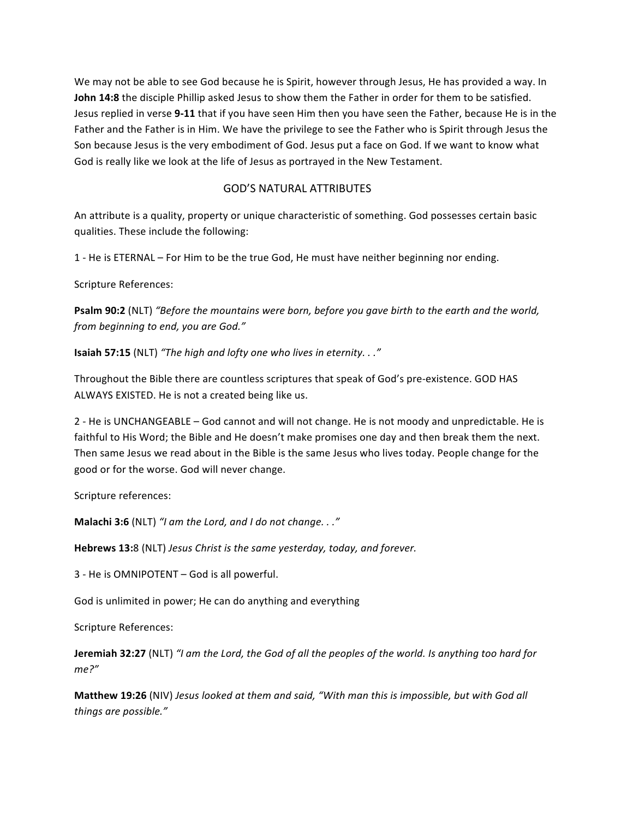We may not be able to see God because he is Spirit, however through Jesus, He has provided a way. In **John 14:8** the disciple Phillip asked Jesus to show them the Father in order for them to be satisfied. Jesus replied in verse 9-11 that if you have seen Him then you have seen the Father, because He is in the Father and the Father is in Him. We have the privilege to see the Father who is Spirit through Jesus the Son because Jesus is the very embodiment of God. Jesus put a face on God. If we want to know what God is really like we look at the life of Jesus as portrayed in the New Testament.

#### **GOD'S NATURAL ATTRIBUTES**

An attribute is a quality, property or unique characteristic of something. God possesses certain basic qualities. These include the following:

1 - He is ETERNAL – For Him to be the true God, He must have neither beginning nor ending.

Scripture References:

**Psalm 90:2** (NLT) "Before the mountains were born, before you gave birth to the earth and the world, *from beginning to end, you are God."*

**Isaiah 57:15** (NLT) "The high and lofty one who lives in eternity. . ."

Throughout the Bible there are countless scriptures that speak of God's pre-existence. GOD HAS ALWAYS EXISTED. He is not a created being like us.

2 - He is UNCHANGEABLE - God cannot and will not change. He is not moody and unpredictable. He is faithful to His Word; the Bible and He doesn't make promises one day and then break them the next. Then same Jesus we read about in the Bible is the same Jesus who lives today. People change for the good or for the worse. God will never change.

Scripture references:

**Malachi 3:6** (NLT) "I am the Lord, and I do not change. . ."

**Hebrews 13:**8 (NLT) *Jesus Christ is the same yesterday, today, and forever.* 

3 - He is OMNIPOTENT - God is all powerful.

God is unlimited in power; He can do anything and everything

Scripture References:

**Jeremiah 32:27** (NLT) "I am the Lord, the God of all the peoples of the world. Is anything too hard for *me?"*

**Matthew 19:26** (NIV) *Jesus looked at them and said,* "With man this is impossible, but with God all *things are possible."*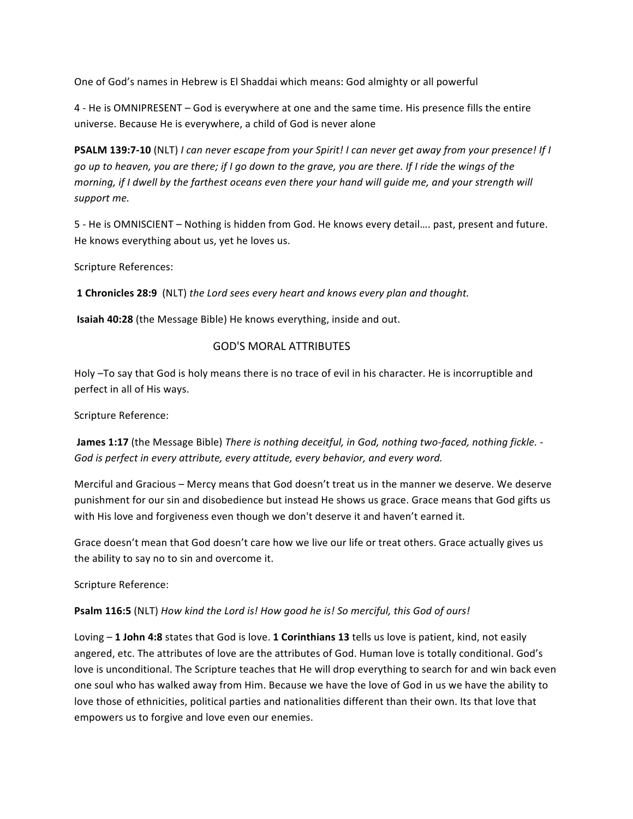One of God's names in Hebrew is El Shaddai which means: God almighty or all powerful

4 - He is OMNIPRESENT - God is everywhere at one and the same time. His presence fills the entire universe. Because He is everywhere, a child of God is never alone

**PSALM 139:7-10** (NLT) *I* can never escape from your Spirit! *I* can never get away from your presence! If *I go* up to heaven, you are there; if I go down to the grave, you are there. If I ride the wings of the *morning, if I dwell by the farthest oceans even there your hand will guide me, and your strength will* support me.

5 - He is OMNISCIENT – Nothing is hidden from God. He knows every detail.... past, present and future. He knows everything about us, yet he loves us.

Scripture References:

**1 Chronicles 28:9** (NLT) the Lord sees every heart and knows every plan and thought.

**Isaiah 40:28** (the Message Bible) He knows everything, inside and out.

## GOD'S MORAL ATTRIBUTES

Holy -To say that God is holy means there is no trace of evil in his character. He is incorruptible and perfect in all of His ways.

Scripture Reference:

**James 1:17** (the Message Bible) *There is nothing deceitful, in God, nothing two-faced, nothing fickle. -*God is perfect in every attribute, every attitude, every behavior, and every word.

Merciful and Gracious – Mercy means that God doesn't treat us in the manner we deserve. We deserve punishment for our sin and disobedience but instead He shows us grace. Grace means that God gifts us with His love and forgiveness even though we don't deserve it and haven't earned it.

Grace doesn't mean that God doesn't care how we live our life or treat others. Grace actually gives us the ability to say no to sin and overcome it.

Scripture Reference:

**Psalm 116:5** (NLT) How kind the Lord is! How good he is! So merciful, this God of ours!

Loving - 1 John 4:8 states that God is love. 1 Corinthians 13 tells us love is patient, kind, not easily angered, etc. The attributes of love are the attributes of God. Human love is totally conditional. God's love is unconditional. The Scripture teaches that He will drop everything to search for and win back even one soul who has walked away from Him. Because we have the love of God in us we have the ability to love those of ethnicities, political parties and nationalities different than their own. Its that love that empowers us to forgive and love even our enemies.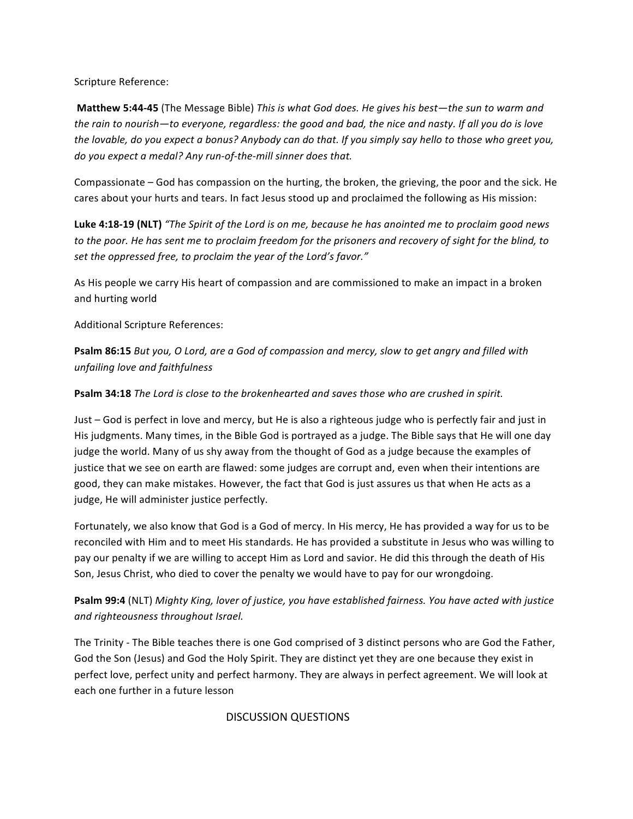Scripture Reference:

**Matthew 5:44-45** (The Message Bible) This is what God does. He gives his best—the sun to warm and *the rain to nourish—to everyone, regardless: the good and bad, the nice and nasty. If all you do is love the lovable, do you expect a bonus? Anybody can do that. If you simply say hello to those who greet you, do* you expect a medal? Any run-of-the-mill sinner does that.

Compassionate – God has compassion on the hurting, the broken, the grieving, the poor and the sick. He cares about your hurts and tears. In fact Jesus stood up and proclaimed the following as His mission:

**Luke 4:18-19 (NLT)** "The Spirit of the Lord is on me, because he has anointed me to proclaim good news to the poor. He has sent me to proclaim freedom for the prisoners and recovery of sight for the blind, to set the oppressed free, to proclaim the year of the Lord's favor."

As His people we carry His heart of compassion and are commissioned to make an impact in a broken and hurting world

Additional Scripture References:

**Psalm 86:15** *But you, O Lord, are a God of compassion and mercy, slow to get angry and filled with unfailing love and faithfulness*

**Psalm 34:18** The Lord is close to the brokenhearted and saves those who are crushed in spirit.

Just - God is perfect in love and mercy, but He is also a righteous judge who is perfectly fair and just in His judgments. Many times, in the Bible God is portrayed as a judge. The Bible says that He will one day judge the world. Many of us shy away from the thought of God as a judge because the examples of justice that we see on earth are flawed: some judges are corrupt and, even when their intentions are good, they can make mistakes. However, the fact that God is just assures us that when He acts as a judge, He will administer justice perfectly.

Fortunately, we also know that God is a God of mercy. In His mercy, He has provided a way for us to be reconciled with Him and to meet His standards. He has provided a substitute in Jesus who was willing to pay our penalty if we are willing to accept Him as Lord and savior. He did this through the death of His Son, Jesus Christ, who died to cover the penalty we would have to pay for our wrongdoing.

**Psalm 99:4** (NLT) Mighty King, lover of justice, you have established fairness. You have acted with justice *and righteousness throughout Israel.*

The Trinity - The Bible teaches there is one God comprised of 3 distinct persons who are God the Father, God the Son (Jesus) and God the Holy Spirit. They are distinct yet they are one because they exist in perfect love, perfect unity and perfect harmony. They are always in perfect agreement. We will look at each one further in a future lesson

 DISCUSSION QUESTIONS